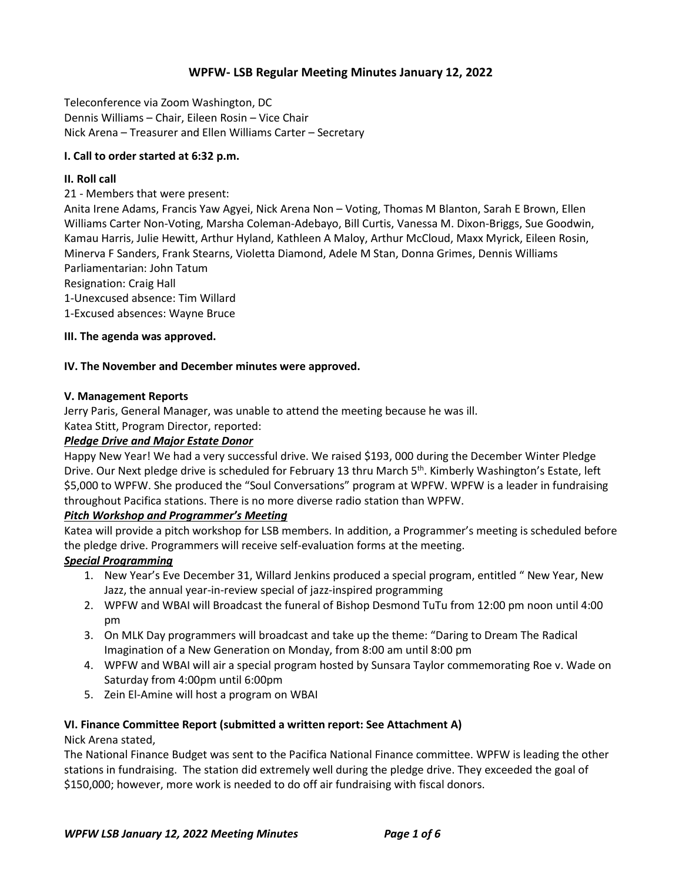# **WPFW- LSB Regular Meeting Minutes January 12, 2022**

Teleconference via Zoom Washington, DC Dennis Williams – Chair, Eileen Rosin – Vice Chair Nick Arena – Treasurer and Ellen Williams Carter – Secretary

## **I. Call to order started at 6:32 p.m.**

## **II. Roll call**

21 - Members that were present:

Anita Irene Adams, Francis Yaw Agyei, Nick Arena Non – Voting, Thomas M Blanton, Sarah E Brown, Ellen Williams Carter Non-Voting, Marsha Coleman-Adebayo, Bill Curtis, Vanessa M. Dixon-Briggs, Sue Goodwin, Kamau Harris, Julie Hewitt, Arthur Hyland, Kathleen A Maloy, Arthur McCloud, Maxx Myrick, Eileen Rosin, Minerva F Sanders, Frank Stearns, Violetta Diamond, Adele M Stan, Donna Grimes, Dennis Williams Parliamentarian: John Tatum

Resignation: Craig Hall

1-Unexcused absence: Tim Willard

1-Excused absences: Wayne Bruce

## **III. The agenda was approved.**

#### **IV. The November and December minutes were approved.**

#### **V. Management Reports**

Jerry Paris, General Manager, was unable to attend the meeting because he was ill. Katea Stitt, Program Director, reported:

#### *Pledge Drive and Major Estate Donor*

Happy New Year! We had a very successful drive. We raised \$193, 000 during the December Winter Pledge Drive. Our Next pledge drive is scheduled for February 13 thru March 5<sup>th</sup>. Kimberly Washington's Estate, left \$5,000 to WPFW. She produced the "Soul Conversations" program at WPFW. WPFW is a leader in fundraising throughout Pacifica stations. There is no more diverse radio station than WPFW.

## *Pitch Workshop and Programmer's Meeting*

Katea will provide a pitch workshop for LSB members. In addition, a Programmer's meeting is scheduled before the pledge drive. Programmers will receive self-evaluation forms at the meeting.

## *Special Programming*

- 1. New Year's Eve December 31, Willard Jenkins produced a special program, entitled " New Year, New Jazz, the annual year-in-review special of jazz-inspired programming
- 2. WPFW and WBAI will Broadcast the funeral of Bishop Desmond TuTu from 12:00 pm noon until 4:00 pm
- 3. On MLK Day programmers will broadcast and take up the theme: "Daring to Dream The Radical Imagination of a New Generation on Monday, from 8:00 am until 8:00 pm
- 4. WPFW and WBAI will air a special program hosted by Sunsara Taylor commemorating Roe v. Wade on Saturday from 4:00pm until 6:00pm
- 5. Zein El-Amine will host a program on WBAI

## **VI. Finance Committee Report (submitted a written report: See Attachment A)**

Nick Arena stated,

The National Finance Budget was sent to the Pacifica National Finance committee. WPFW is leading the other stations in fundraising. The station did extremely well during the pledge drive. They exceeded the goal of \$150,000; however, more work is needed to do off air fundraising with fiscal donors.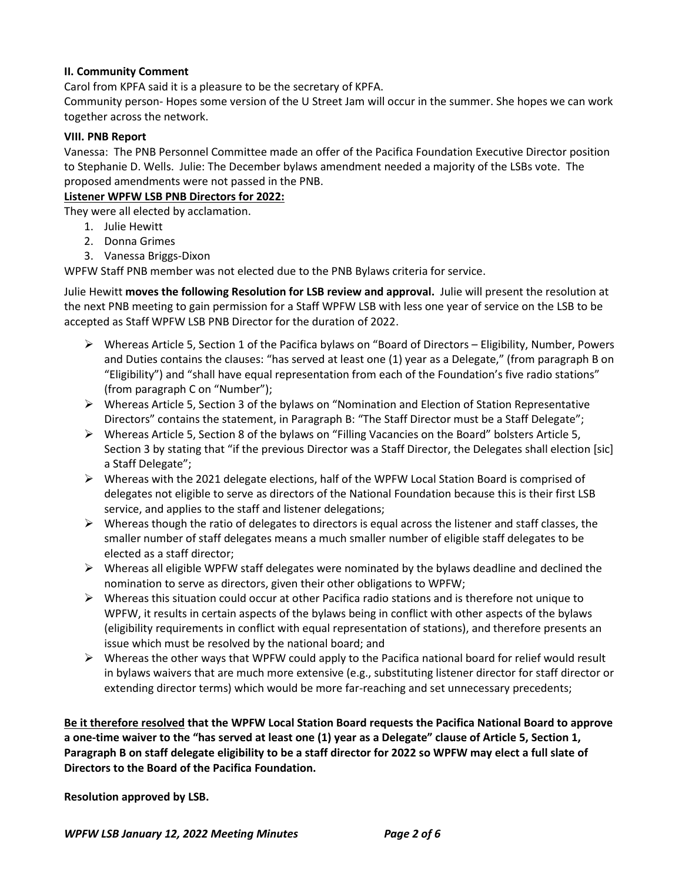## **II. Community Comment**

Carol from KPFA said it is a pleasure to be the secretary of KPFA.

Community person- Hopes some version of the U Street Jam will occur in the summer. She hopes we can work together across the network.

## **VIII. PNB Report**

Vanessa: The PNB Personnel Committee made an offer of the Pacifica Foundation Executive Director position to Stephanie D. Wells. Julie: The December bylaws amendment needed a majority of the LSBs vote. The proposed amendments were not passed in the PNB.

## **Listener WPFW LSB PNB Directors for 2022:**

They were all elected by acclamation.

- 1. Julie Hewitt
- 2. Donna Grimes
- 3. Vanessa Briggs-Dixon

WPFW Staff PNB member was not elected due to the PNB Bylaws criteria for service.

Julie Hewitt **moves the following Resolution for LSB review and approval.** Julie will present the resolution at the next PNB meeting to gain permission for a Staff WPFW LSB with less one year of service on the LSB to be accepted as Staff WPFW LSB PNB Director for the duration of 2022.

- Whereas Article 5, Section 1 of the Pacifica bylaws on "Board of Directors Eligibility, Number, Powers and Duties contains the clauses: "has served at least one (1) year as a Delegate," (from paragraph B on "Eligibility") and "shall have equal representation from each of the Foundation's five radio stations" (from paragraph C on "Number");
- $\triangleright$  Whereas Article 5, Section 3 of the bylaws on "Nomination and Election of Station Representative Directors" contains the statement, in Paragraph B: "The Staff Director must be a Staff Delegate";
- Whereas Article 5, Section 8 of the bylaws on "Filling Vacancies on the Board" bolsters Article 5, Section 3 by stating that "if the previous Director was a Staff Director, the Delegates shall election [sic] a Staff Delegate";
- $\triangleright$  Whereas with the 2021 delegate elections, half of the WPFW Local Station Board is comprised of delegates not eligible to serve as directors of the National Foundation because this is their first LSB service, and applies to the staff and listener delegations;
- $\triangleright$  Whereas though the ratio of delegates to directors is equal across the listener and staff classes, the smaller number of staff delegates means a much smaller number of eligible staff delegates to be elected as a staff director;
- $\triangleright$  Whereas all eligible WPFW staff delegates were nominated by the bylaws deadline and declined the nomination to serve as directors, given their other obligations to WPFW;
- $\triangleright$  Whereas this situation could occur at other Pacifica radio stations and is therefore not unique to WPFW, it results in certain aspects of the bylaws being in conflict with other aspects of the bylaws (eligibility requirements in conflict with equal representation of stations), and therefore presents an issue which must be resolved by the national board; and
- $\triangleright$  Whereas the other ways that WPFW could apply to the Pacifica national board for relief would result in bylaws waivers that are much more extensive (e.g., substituting listener director for staff director or extending director terms) which would be more far-reaching and set unnecessary precedents;

Be it therefore resolved that the WPFW Local Station Board requests the Pacifica National Board to approve a one-time waiver to the "has served at least one (1) year as a Delegate" clause of Article 5, Section 1, Paragraph B on staff delegate eligibility to be a staff director for 2022 so WPFW may elect a full slate of **Directors to the Board of the Pacifica Foundation.**

**Resolution approved by LSB.**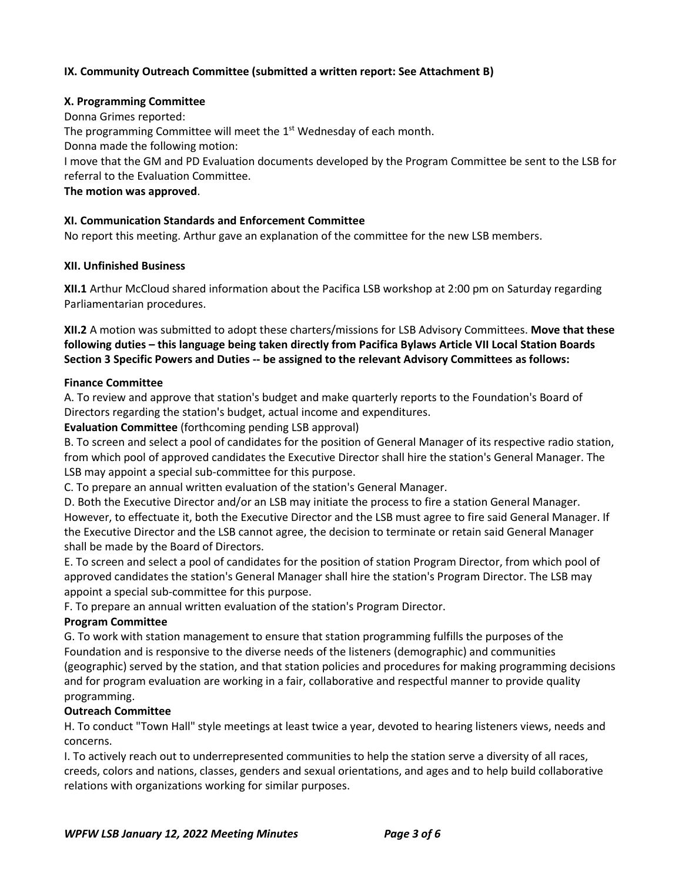## **IX. Community Outreach Committee (submitted a written report: See Attachment B)**

## **X. Programming Committee**

Donna Grimes reported: The programming Committee will meet the 1<sup>st</sup> Wednesday of each month. Donna made the following motion: I move that the GM and PD Evaluation documents developed by the Program Committee be sent to the LSB for referral to the Evaluation Committee.

## **The motion was approved**.

## **XI. Communication Standards and Enforcement Committee**

No report this meeting. Arthur gave an explanation of the committee for the new LSB members.

## **XII. Unfinished Business**

**XII.1** Arthur McCloud shared information about the Pacifica LSB workshop at 2:00 pm on Saturday regarding Parliamentarian procedures.

**XII.2** A motion was submitted to adopt these charters/missions for LSB Advisory Committees. **Move that these following duties – this language being taken directly from Pacifica Bylaws Article VII Local Station Boards Section 3 Specific Powers and Duties -- be assigned to the relevant Advisory Committees as follows:**

## **Finance Committee**

A. To review and approve that station's budget and make quarterly reports to the Foundation's Board of Directors regarding the station's budget, actual income and expenditures.

## **Evaluation Committee** (forthcoming pending LSB approval)

B. To screen and select a pool of candidates for the position of General Manager of its respective radio station, from which pool of approved candidates the Executive Director shall hire the station's General Manager. The LSB may appoint a special sub-committee for this purpose.

C. To prepare an annual written evaluation of the station's General Manager.

D. Both the Executive Director and/or an LSB may initiate the process to fire a station General Manager. However, to effectuate it, both the Executive Director and the LSB must agree to fire said General Manager. If the Executive Director and the LSB cannot agree, the decision to terminate or retain said General Manager shall be made by the Board of Directors.

E. To screen and select a pool of candidates for the position of station Program Director, from which pool of approved candidates the station's General Manager shall hire the station's Program Director. The LSB may appoint a special sub-committee for this purpose.

F. To prepare an annual written evaluation of the station's Program Director.

## **Program Committee**

G. To work with station management to ensure that station programming fulfills the purposes of the Foundation and is responsive to the diverse needs of the listeners (demographic) and communities (geographic) served by the station, and that station policies and procedures for making programming decisions and for program evaluation are working in a fair, collaborative and respectful manner to provide quality programming.

## **Outreach Committee**

H. To conduct "Town Hall" style meetings at least twice a year, devoted to hearing listeners views, needs and concerns.

I. To actively reach out to underrepresented communities to help the station serve a diversity of all races, creeds, colors and nations, classes, genders and sexual orientations, and ages and to help build collaborative relations with organizations working for similar purposes.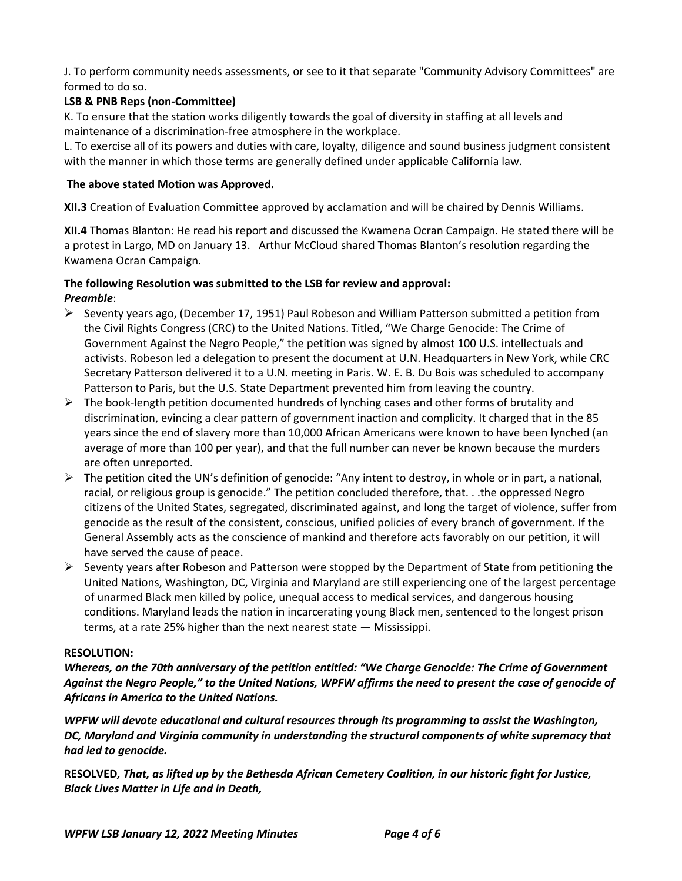J. To perform community needs assessments, or see to it that separate "Community Advisory Committees" are formed to do so.

# **LSB & PNB Reps (non-Committee)**

K. To ensure that the station works diligently towards the goal of diversity in staffing at all levels and maintenance of a discrimination-free atmosphere in the workplace.

L. To exercise all of its powers and duties with care, loyalty, diligence and sound business judgment consistent with the manner in which those terms are generally defined under applicable California law.

## **The above stated Motion was Approved.**

**XII.3** Creation of Evaluation Committee approved by acclamation and will be chaired by Dennis Williams.

**XII.4** Thomas Blanton: He read his report and discussed the Kwamena Ocran Campaign. He stated there will be a protest in Largo, MD on January 13. Arthur McCloud shared Thomas Blanton's resolution regarding the Kwamena Ocran Campaign.

## **The following Resolution was submitted to the LSB for review and approval:** *Preamble*:

- $\triangleright$  Seventy years ago, (December 17, 1951) Paul Robeson and William Patterson submitted a petition from the Civil Rights Congress (CRC) to the United Nations. Titled, "We Charge Genocide: The Crime of Government Against the Negro People," the petition was signed by almost 100 U.S. intellectuals and activists. Robeson led a delegation to present the document at U.N. Headquarters in New York, while CRC Secretary Patterson delivered it to a U.N. meeting in Paris. W. E. B. Du Bois was scheduled to accompany Patterson to Paris, but the U.S. State Department prevented him from leaving the country.
- $\triangleright$  The book-length petition documented hundreds of lynching cases and other forms of brutality and discrimination, evincing a clear pattern of government inaction and complicity. It charged that in the 85 years since the end of slavery more than 10,000 African Americans were known to have been lynched (an average of more than 100 per year), and that the full number can never be known because the murders are often unreported.
- $\triangleright$  The petition cited the UN's definition of genocide: "Any intent to destroy, in whole or in part, a national, racial, or religious group is genocide." The petition concluded therefore, that. . .the oppressed Negro citizens of the United States, segregated, discriminated against, and long the target of violence, suffer from genocide as the result of the consistent, conscious, unified policies of every branch of government. If the General Assembly acts as the conscience of mankind and therefore acts favorably on our petition, it will have served the cause of peace.
- $\triangleright$  Seventy years after Robeson and Patterson were stopped by the Department of State from petitioning the United Nations, Washington, DC, Virginia and Maryland are still experiencing one of the largest percentage of unarmed Black men killed by police, unequal access to medical services, and dangerous housing conditions. Maryland leads the nation in incarcerating young Black men, sentenced to the longest prison terms, at a rate 25% higher than the next nearest state — Mississippi.

## **RESOLUTION:**

*Whereas, on the 70th anniversary of the petition entitled: "We Charge Genocide: The Crime of Government Against the Negro People," to the United Nations, WPFW affirms the need to present the case of genocide of Africans in America to the United Nations.* 

*WPFW will devote educational and cultural resources through its programming to assist the Washington, DC, Maryland and Virginia community in understanding the structural components of white supremacy that had led to genocide.*

**RESOLVED***, That, as lifted up by the Bethesda African Cemetery Coalition, in our historic fight for Justice, Black Lives Matter in Life and in Death,*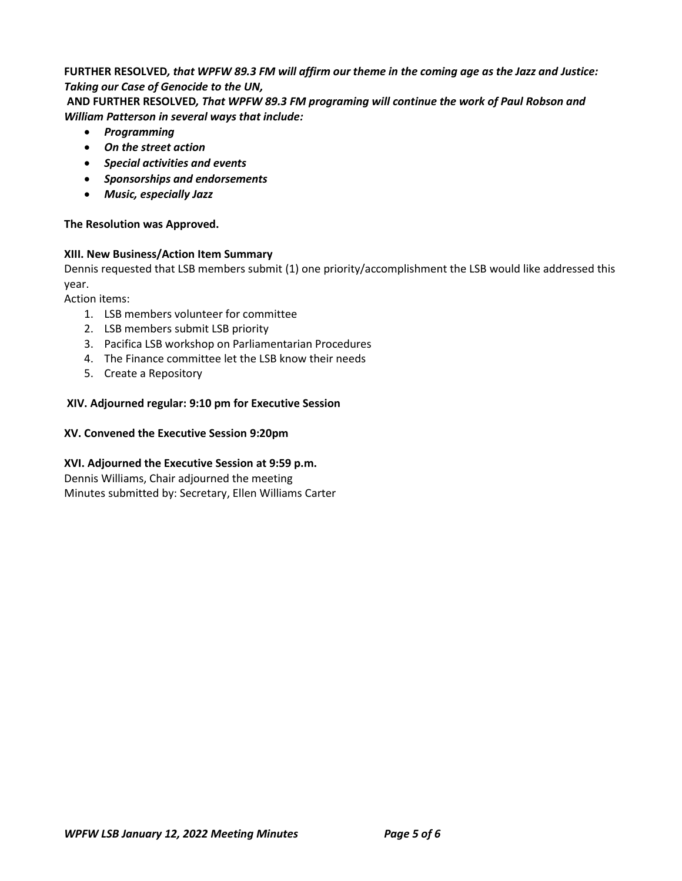# **FURTHER RESOLVED***, that WPFW 89.3 FM will affirm our theme in the coming age as the Jazz and Justice: Taking our Case of Genocide to the UN,*

**AND FURTHER RESOLVED***, That WPFW 89.3 FM programing will continue the work of Paul Robson and William Patterson in several ways that include:*

- *Programming*
- *On the street action*
- *Special activities and events*
- *Sponsorships and endorsements*
- *Music, especially Jazz*

# **The Resolution was Approved.**

# **XIII. New Business/Action Item Summary**

Dennis requested that LSB members submit (1) one priority/accomplishment the LSB would like addressed this year.

Action items:

- 1. LSB members volunteer for committee
- 2. LSB members submit LSB priority
- 3. Pacifica LSB workshop on Parliamentarian Procedures
- 4. The Finance committee let the LSB know their needs
- 5. Create a Repository

# **XIV. Adjourned regular: 9:10 pm for Executive Session**

# **XV. Convened the Executive Session 9:20pm**

# **XVI. Adjourned the Executive Session at 9:59 p.m.**

Dennis Williams, Chair adjourned the meeting Minutes submitted by: Secretary, Ellen Williams Carter